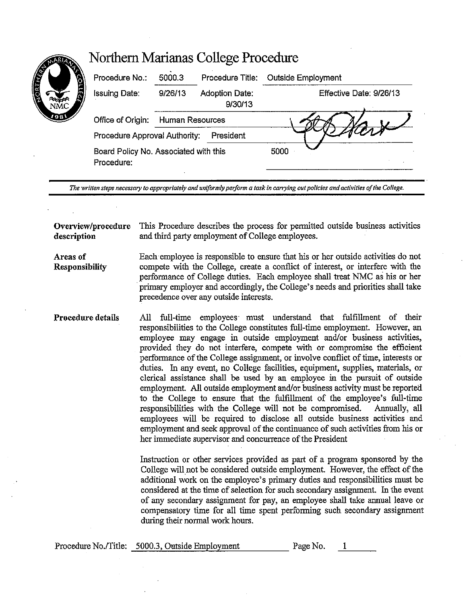|                     | Northern Marianas College Procedure                 |                 |                                  |                         |  |
|---------------------|-----------------------------------------------------|-----------------|----------------------------------|-------------------------|--|
|                     | Procedure No.:                                      | 5000.3          | Procedure Title:                 | Outside Employment      |  |
| <b>CONTROL</b><br>Æ | Issuing Date:                                       | 9/26/13         | <b>Adoption Date:</b><br>9/30/13 | Effective Date: 9/26/13 |  |
| 98                  | Office of Origin:                                   | Human Resources |                                  |                         |  |
|                     | President<br>Procedure Approval Authority:          |                 |                                  |                         |  |
|                     | Board Policy No. Associated with this<br>Procedure: |                 |                                  | 5000                    |  |

*The written steps necessary to appropriately and uniformly perform a task in carrying out policies and activities of the College.* 

**Overview/procedure** This Procedure describes the process for permitted outside business activities **description** and third party employment of College employees.

**Areas** of **Responsibility**  Each employee is responsible to ensure that his or her outside activities do not compete with the College, create a conflict of interest, or interfere with the performance of College duties. Each employee shall treat NMC as his or her primary employer and accordingly, the College's needs and priorities shall take precedence over any outside interests.

**Procedure details**  All full-time employees· must understand that fulfillment of their responsibilities to the College constitutes full-time employment. However, an employee may engage in outside employment and/or business activities, provided they do not interfere, compete with or compromise the efficient performance of the College assignment, or involve conflict of time, interests or duties. In any event, no College facilities, equipment, supplies, materials, or clerical assistance shall be used by an employee in the pursuit of outside employment. All outside employment and/or business activity must be reported to the College to ensure that the fulfillment of the employee's full-time responsibilities with the College will not be compromised. Annually, all employees will be required to disclose all outside business activities and employment and seek approval of the continuance of such activities from his or her immediate supervisor and concurrence of the President

> Instruction or other services provided as part of a program sponsored by the College will not be considered outside employment. However, the effect of the additional work on the employee's primary duties and responsibilities must be considered at the time of selection for such secondary assignment. In the event of any secondary assignment for pay, an employee shall take annual leave or compensatory time for all time spent performing such secondary assignment during their normal work hours.

|  | Procedure No./Title: 5000.3, Outside Employment | Page No. |  |
|--|-------------------------------------------------|----------|--|
|--|-------------------------------------------------|----------|--|